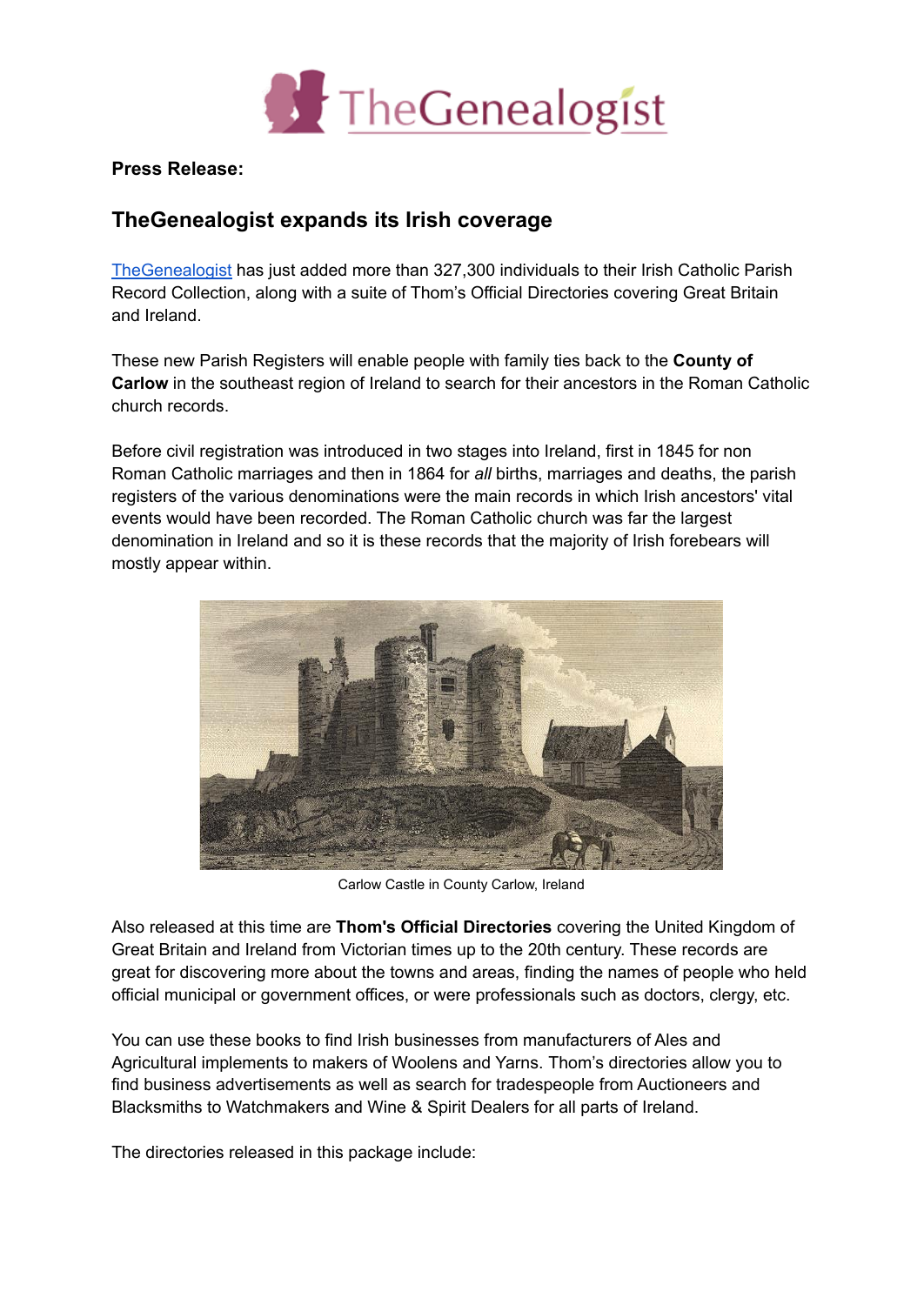

**Press Release:**

## **TheGenealogist expands its Irish coverage**

[TheGenealogist](https://www.thegenealogist.co.uk) has just added more than 327,300 individuals to their Irish Catholic Parish Record Collection, along with a suite of Thom's Official Directories covering Great Britain and Ireland.

These new Parish Registers will enable people with family ties back to the **County of Carlow** in the southeast region of Ireland to search for their ancestors in the Roman Catholic church records.

Before civil registration was introduced in two stages into Ireland, first in 1845 for non Roman Catholic marriages and then in 1864 for *all* births, marriages and deaths, the parish registers of the various denominations were the main records in which Irish ancestors' vital events would have been recorded. The Roman Catholic church was far the largest denomination in Ireland and so it is these records that the majority of Irish forebears will mostly appear within.



Carlow Castle in County Carlow, Ireland

Also released at this time are **Thom's Official Directories** covering the United Kingdom of Great Britain and Ireland from Victorian times up to the 20th century. These records are great for discovering more about the towns and areas, finding the names of people who held official municipal or government offices, or were professionals such as doctors, clergy, etc.

You can use these books to find Irish businesses from manufacturers of Ales and Agricultural implements to makers of Woolens and Yarns. Thom's directories allow you to find business advertisements as well as search for tradespeople from Auctioneers and Blacksmiths to Watchmakers and Wine & Spirit Dealers for all parts of Ireland.

The directories released in this package include: